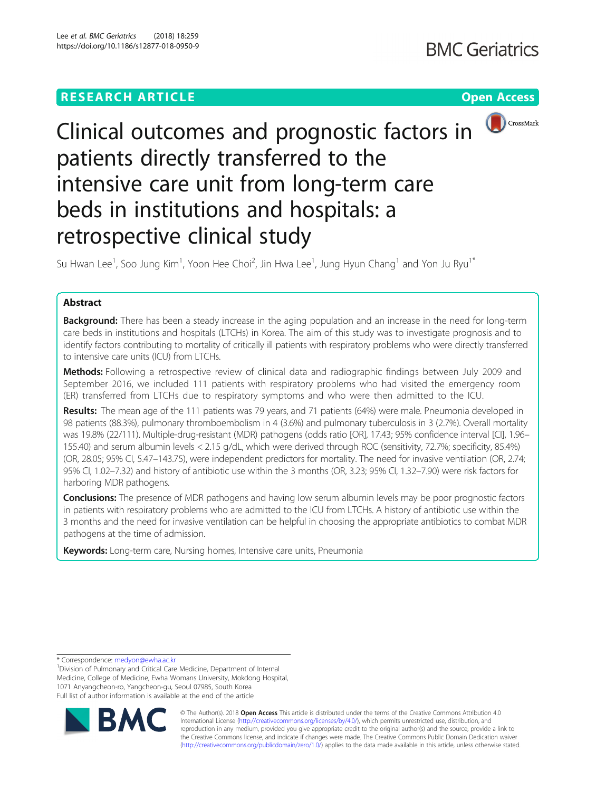

# Clinical outcomes and prognostic factors in patients directly transferred to the intensive care unit from long-term care beds in institutions and hospitals: a retrospective clinical study

Su Hwan Lee $^1$ , Soo Jung Kim $^1$ , Yoon Hee Choi $^2$ , Jin Hwa Lee $^1$ , Jung Hyun Chang $^1$  and Yon Ju Ryu $^{1^\ast}$ 

# Abstract

**Background:** There has been a steady increase in the aging population and an increase in the need for long-term care beds in institutions and hospitals (LTCHs) in Korea. The aim of this study was to investigate prognosis and to identify factors contributing to mortality of critically ill patients with respiratory problems who were directly transferred to intensive care units (ICU) from LTCHs.

Methods: Following a retrospective review of clinical data and radiographic findings between July 2009 and September 2016, we included 111 patients with respiratory problems who had visited the emergency room (ER) transferred from LTCHs due to respiratory symptoms and who were then admitted to the ICU.

Results: The mean age of the 111 patients was 79 years, and 71 patients (64%) were male. Pneumonia developed in 98 patients (88.3%), pulmonary thromboembolism in 4 (3.6%) and pulmonary tuberculosis in 3 (2.7%). Overall mortality was 19.8% (22/111). Multiple-drug-resistant (MDR) pathogens (odds ratio [OR], 17.43; 95% confidence interval [CI], 1.96– 155.40) and serum albumin levels < 2.15 g/dL, which were derived through ROC (sensitivity, 72.7%; specificity, 85.4%) (OR, 28.05; 95% CI, 5.47–143.75), were independent predictors for mortality. The need for invasive ventilation (OR, 2.74; 95% CI, 1.02–7.32) and history of antibiotic use within the 3 months (OR, 3.23; 95% CI, 1.32–7.90) were risk factors for harboring MDR pathogens.

**Conclusions:** The presence of MDR pathogens and having low serum albumin levels may be poor prognostic factors in patients with respiratory problems who are admitted to the ICU from LTCHs. A history of antibiotic use within the 3 months and the need for invasive ventilation can be helpful in choosing the appropriate antibiotics to combat MDR pathogens at the time of admission.

Keywords: Long-term care, Nursing homes, Intensive care units, Pneumonia

\* Correspondence: [medyon@ewha.ac.kr](mailto:medyon@ewha.ac.kr) <sup>1</sup>

<sup>1</sup> Division of Pulmonary and Critical Care Medicine, Department of Internal Medicine, College of Medicine, Ewha Womans University, Mokdong Hospital, 1071 Anyangcheon-ro, Yangcheon-gu, Seoul 07985, South Korea Full list of author information is available at the end of the article



© The Author(s). 2018 Open Access This article is distributed under the terms of the Creative Commons Attribution 4.0 International License [\(http://creativecommons.org/licenses/by/4.0/](http://creativecommons.org/licenses/by/4.0/)), which permits unrestricted use, distribution, and reproduction in any medium, provided you give appropriate credit to the original author(s) and the source, provide a link to the Creative Commons license, and indicate if changes were made. The Creative Commons Public Domain Dedication waiver [\(http://creativecommons.org/publicdomain/zero/1.0/](http://creativecommons.org/publicdomain/zero/1.0/)) applies to the data made available in this article, unless otherwise stated.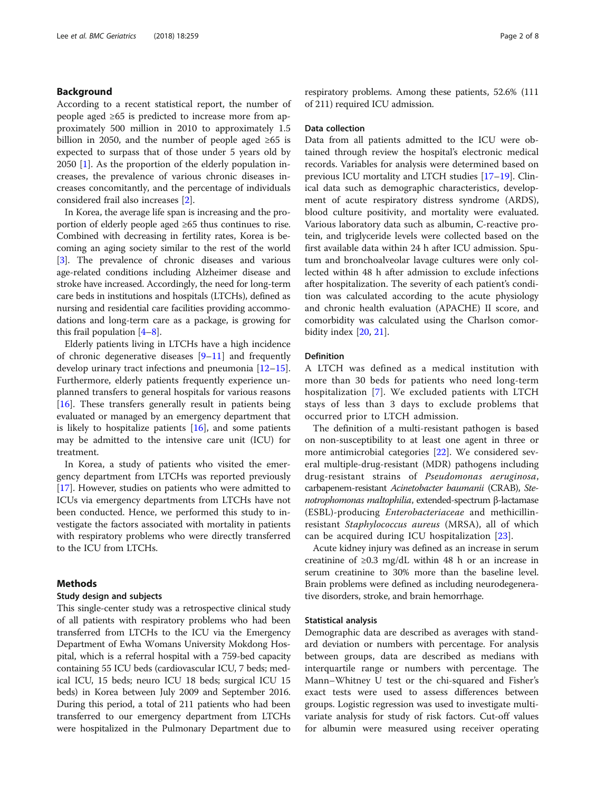# Background

According to a recent statistical report, the number of people aged ≥65 is predicted to increase more from approximately 500 million in 2010 to approximately 1.5 billion in 2050, and the number of people aged ≥65 is expected to surpass that of those under 5 years old by 2050 [[1\]](#page-6-0). As the proportion of the elderly population increases, the prevalence of various chronic diseases increases concomitantly, and the percentage of individuals considered frail also increases [[2\]](#page-6-0).

In Korea, the average life span is increasing and the proportion of elderly people aged ≥65 thus continues to rise. Combined with decreasing in fertility rates, Korea is becoming an aging society similar to the rest of the world [[3\]](#page-6-0). The prevalence of chronic diseases and various age-related conditions including Alzheimer disease and stroke have increased. Accordingly, the need for long-term care beds in institutions and hospitals (LTCHs), defined as nursing and residential care facilities providing accommodations and long-term care as a package, is growing for this frail population [\[4](#page-7-0)–[8](#page-7-0)].

Elderly patients living in LTCHs have a high incidence of chronic degenerative diseases  $[9-11]$  $[9-11]$  $[9-11]$  $[9-11]$  and frequently develop urinary tract infections and pneumonia [[12](#page-7-0)–[15](#page-7-0)]. Furthermore, elderly patients frequently experience unplanned transfers to general hospitals for various reasons [[16\]](#page-7-0). These transfers generally result in patients being evaluated or managed by an emergency department that is likely to hospitalize patients  $[16]$  $[16]$ , and some patients may be admitted to the intensive care unit (ICU) for treatment.

In Korea, a study of patients who visited the emergency department from LTCHs was reported previously [[17\]](#page-7-0). However, studies on patients who were admitted to ICUs via emergency departments from LTCHs have not been conducted. Hence, we performed this study to investigate the factors associated with mortality in patients with respiratory problems who were directly transferred to the ICU from LTCHs.

# Methods

# Study design and subjects

This single-center study was a retrospective clinical study of all patients with respiratory problems who had been transferred from LTCHs to the ICU via the Emergency Department of Ewha Womans University Mokdong Hospital, which is a referral hospital with a 759-bed capacity containing 55 ICU beds (cardiovascular ICU, 7 beds; medical ICU, 15 beds; neuro ICU 18 beds; surgical ICU 15 beds) in Korea between July 2009 and September 2016. During this period, a total of 211 patients who had been transferred to our emergency department from LTCHs were hospitalized in the Pulmonary Department due to respiratory problems. Among these patients, 52.6% (111 of 211) required ICU admission.

# Data collection

Data from all patients admitted to the ICU were obtained through review the hospital's electronic medical records. Variables for analysis were determined based on previous ICU mortality and LTCH studies [[17](#page-7-0)–[19](#page-7-0)]. Clinical data such as demographic characteristics, development of acute respiratory distress syndrome (ARDS), blood culture positivity, and mortality were evaluated. Various laboratory data such as albumin, C-reactive protein, and triglyceride levels were collected based on the first available data within 24 h after ICU admission. Sputum and bronchoalveolar lavage cultures were only collected within 48 h after admission to exclude infections after hospitalization. The severity of each patient's condition was calculated according to the acute physiology and chronic health evaluation (APACHE) II score, and comorbidity was calculated using the Charlson comorbidity index [\[20](#page-7-0), [21\]](#page-7-0).

# Definition

A LTCH was defined as a medical institution with more than 30 beds for patients who need long-term hospitalization [[7\]](#page-7-0). We excluded patients with LTCH stays of less than 3 days to exclude problems that occurred prior to LTCH admission.

The definition of a multi-resistant pathogen is based on non-susceptibility to at least one agent in three or more antimicrobial categories [\[22](#page-7-0)]. We considered several multiple-drug-resistant (MDR) pathogens including drug-resistant strains of Pseudomonas aeruginosa, carbapenem-resistant Acinetobacter baumanii (CRAB), Stenotrophomonas maltophilia, extended-spectrum β-lactamase (ESBL)-producing Enterobacteriaceae and methicillinresistant Staphylococcus aureus (MRSA), all of which can be acquired during ICU hospitalization [[23\]](#page-7-0).

Acute kidney injury was defined as an increase in serum creatinine of  $\geq 0.3$  mg/dL within 48 h or an increase in serum creatinine to 30% more than the baseline level. Brain problems were defined as including neurodegenerative disorders, stroke, and brain hemorrhage.

# Statistical analysis

Demographic data are described as averages with standard deviation or numbers with percentage. For analysis between groups, data are described as medians with interquartile range or numbers with percentage. The Mann–Whitney U test or the chi-squared and Fisher's exact tests were used to assess differences between groups. Logistic regression was used to investigate multivariate analysis for study of risk factors. Cut-off values for albumin were measured using receiver operating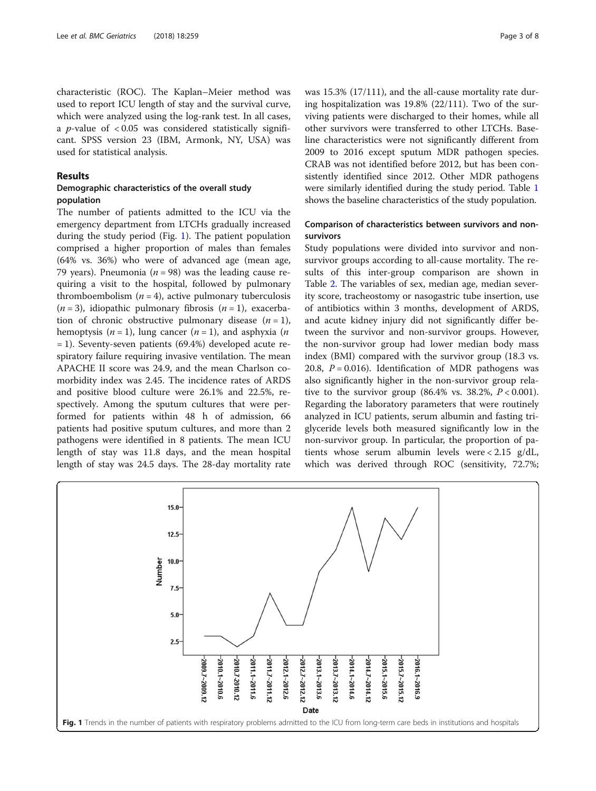characteristic (ROC). The Kaplan–Meier method was used to report ICU length of stay and the survival curve, which were analyzed using the log-rank test. In all cases, a *p*-value of  $< 0.05$  was considered statistically significant. SPSS version 23 (IBM, Armonk, NY, USA) was used for statistical analysis.

### Results

# Demographic characteristics of the overall study population

The number of patients admitted to the ICU via the emergency department from LTCHs gradually increased during the study period (Fig. 1). The patient population comprised a higher proportion of males than females (64% vs. 36%) who were of advanced age (mean age, 79 years). Pneumonia ( $n = 98$ ) was the leading cause requiring a visit to the hospital, followed by pulmonary thromboembolism  $(n = 4)$ , active pulmonary tuberculosis  $(n = 3)$ , idiopathic pulmonary fibrosis  $(n = 1)$ , exacerbation of chronic obstructive pulmonary disease  $(n = 1)$ , hemoptysis  $(n = 1)$ , lung cancer  $(n = 1)$ , and asphyxia  $(n \leq n)$ = 1). Seventy-seven patients (69.4%) developed acute respiratory failure requiring invasive ventilation. The mean APACHE II score was 24.9, and the mean Charlson comorbidity index was 2.45. The incidence rates of ARDS and positive blood culture were 26.1% and 22.5%, respectively. Among the sputum cultures that were performed for patients within 48 h of admission, 66 patients had positive sputum cultures, and more than 2 pathogens were identified in 8 patients. The mean ICU length of stay was 11.8 days, and the mean hospital length of stay was 24.5 days. The 28-day mortality rate was 15.3% (17/111), and the all-cause mortality rate during hospitalization was 19.8% (22/111). Two of the surviving patients were discharged to their homes, while all other survivors were transferred to other LTCHs. Baseline characteristics were not significantly different from 2009 to 2016 except sputum MDR pathogen species. CRAB was not identified before 2012, but has been consistently identified since 2012. Other MDR pathogens were similarly identified during the study period. Table [1](#page-3-0) shows the baseline characteristics of the study population.

# Comparison of characteristics between survivors and nonsurvivors

Study populations were divided into survivor and nonsurvivor groups according to all-cause mortality. The results of this inter-group comparison are shown in Table [2](#page-4-0). The variables of sex, median age, median severity score, tracheostomy or nasogastric tube insertion, use of antibiotics within 3 months, development of ARDS, and acute kidney injury did not significantly differ between the survivor and non-survivor groups. However, the non-survivor group had lower median body mass index (BMI) compared with the survivor group (18.3 vs. 20.8,  $P = 0.016$ ). Identification of MDR pathogens was also significantly higher in the non-survivor group relative to the survivor group  $(86.4\% \text{ vs. } 38.2\%, P < 0.001)$ . Regarding the laboratory parameters that were routinely analyzed in ICU patients, serum albumin and fasting triglyceride levels both measured significantly low in the non-survivor group. In particular, the proportion of patients whose serum albumin levels were < 2.15 g/dL, which was derived through ROC (sensitivity, 72.7%;

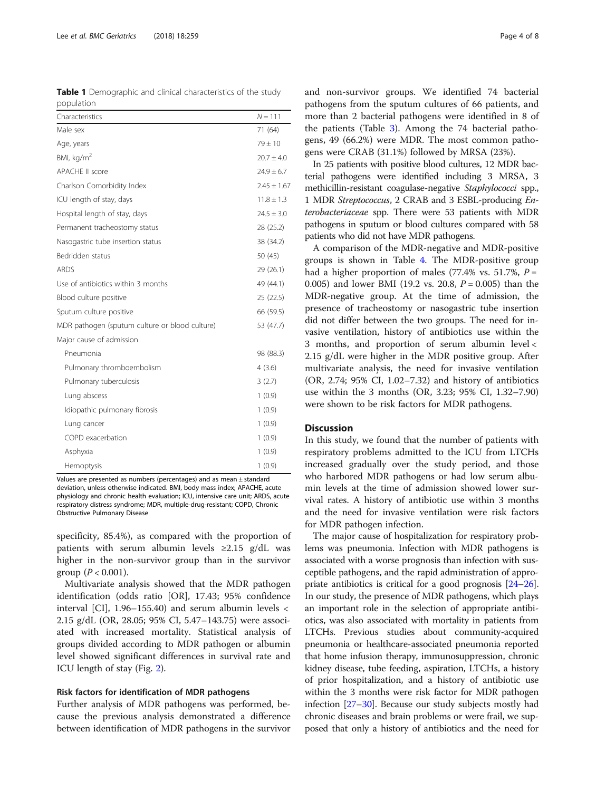<span id="page-3-0"></span>Table 1 Demographic and clinical characteristics of the study population

| Characteristics                                | $N = 111$       |
|------------------------------------------------|-----------------|
| Male sex                                       | 71 (64)         |
| Age, years                                     | $79 \pm 10$     |
| BMI, kg/m <sup>2</sup>                         | $20.7 \pm 4.0$  |
| <b>APACHE II score</b>                         | $24.9 \pm 6.7$  |
| Charlson Comorbidity Index                     | $2.45 \pm 1.67$ |
| ICU length of stay, days                       | $11.8 \pm 1.3$  |
| Hospital length of stay, days                  | $24.5 \pm 3.0$  |
| Permanent tracheostomy status                  | 28 (25.2)       |
| Nasogastric tube insertion status              | 38 (34.2)       |
| Bedridden status                               | 50 (45)         |
| <b>ARDS</b>                                    | 29 (26.1)       |
| Use of antibiotics within 3 months             | 49 (44.1)       |
| Blood culture positive                         | 25 (22.5)       |
| Sputum culture positive                        | 66 (59.5)       |
| MDR pathogen (sputum culture or blood culture) | 53 (47.7)       |
| Major cause of admission                       |                 |
| Pneumonia                                      | 98 (88.3)       |
| Pulmonary thromboembolism                      | 4(3.6)          |
| Pulmonary tuberculosis                         | 3(2.7)          |
| Lung abscess                                   | 1(0.9)          |
| Idiopathic pulmonary fibrosis                  | 1(0.9)          |
| Lung cancer                                    | 1(0.9)          |
| COPD exacerbation                              | 1(0.9)          |
| Asphyxia                                       | 1(0.9)          |
| Hemoptysis                                     | 1(0.9)          |

Values are presented as numbers (percentages) and as mean ± standard deviation, unless otherwise indicated. BMI, body mass index; APACHE, acute physiology and chronic health evaluation; ICU, intensive care unit; ARDS, acute respiratory distress syndrome; MDR, multiple-drug-resistant; COPD, Chronic Obstructive Pulmonary Disease

specificity, 85.4%), as compared with the proportion of patients with serum albumin levels  $\geq 2.15$  g/dL was higher in the non-survivor group than in the survivor group ( $P < 0.001$ ).

Multivariate analysis showed that the MDR pathogen identification (odds ratio [OR], 17.43; 95% confidence interval [CI], 1.96–155.40) and serum albumin levels < 2.15 g/dL (OR, 28.05; 95% CI, 5.47–143.75) were associated with increased mortality. Statistical analysis of groups divided according to MDR pathogen or albumin level showed significant differences in survival rate and ICU length of stay (Fig. [2\)](#page-5-0).

#### Risk factors for identification of MDR pathogens

Further analysis of MDR pathogens was performed, because the previous analysis demonstrated a difference between identification of MDR pathogens in the survivor and non-survivor groups. We identified 74 bacterial pathogens from the sputum cultures of 66 patients, and more than 2 bacterial pathogens were identified in 8 of the patients (Table [3\)](#page-5-0). Among the 74 bacterial pathogens, 49 (66.2%) were MDR. The most common pathogens were CRAB (31.1%) followed by MRSA (23%).

In 25 patients with positive blood cultures, 12 MDR bacterial pathogens were identified including 3 MRSA, 3 methicillin-resistant coagulase-negative Staphylococci spp., 1 MDR Streptococcus, 2 CRAB and 3 ESBL-producing Enterobacteriaceae spp. There were 53 patients with MDR pathogens in sputum or blood cultures compared with 58 patients who did not have MDR pathogens.

A comparison of the MDR-negative and MDR-positive groups is shown in Table [4.](#page-6-0) The MDR-positive group had a higher proportion of males (77.4% vs. 51.7%,  $P =$ 0.005) and lower BMI (19.2 vs. 20.8,  $P = 0.005$ ) than the MDR-negative group. At the time of admission, the presence of tracheostomy or nasogastric tube insertion did not differ between the two groups. The need for invasive ventilation, history of antibiotics use within the 3 months, and proportion of serum albumin level < 2.15 g/dL were higher in the MDR positive group. After multivariate analysis, the need for invasive ventilation (OR, 2.74; 95% CI, 1.02–7.32) and history of antibiotics use within the 3 months (OR, 3.23; 95% CI, 1.32–7.90) were shown to be risk factors for MDR pathogens.

# **Discussion**

In this study, we found that the number of patients with respiratory problems admitted to the ICU from LTCHs increased gradually over the study period, and those who harbored MDR pathogens or had low serum albumin levels at the time of admission showed lower survival rates. A history of antibiotic use within 3 months and the need for invasive ventilation were risk factors for MDR pathogen infection.

The major cause of hospitalization for respiratory problems was pneumonia. Infection with MDR pathogens is associated with a worse prognosis than infection with susceptible pathogens, and the rapid administration of appropriate antibiotics is critical for a good prognosis [\[24](#page-7-0)–[26](#page-7-0)]. In our study, the presence of MDR pathogens, which plays an important role in the selection of appropriate antibiotics, was also associated with mortality in patients from LTCHs. Previous studies about community-acquired pneumonia or healthcare-associated pneumonia reported that home infusion therapy, immunosuppression, chronic kidney disease, tube feeding, aspiration, LTCHs, a history of prior hospitalization, and a history of antibiotic use within the 3 months were risk factor for MDR pathogen infection [[27](#page-7-0)–[30\]](#page-7-0). Because our study subjects mostly had chronic diseases and brain problems or were frail, we supposed that only a history of antibiotics and the need for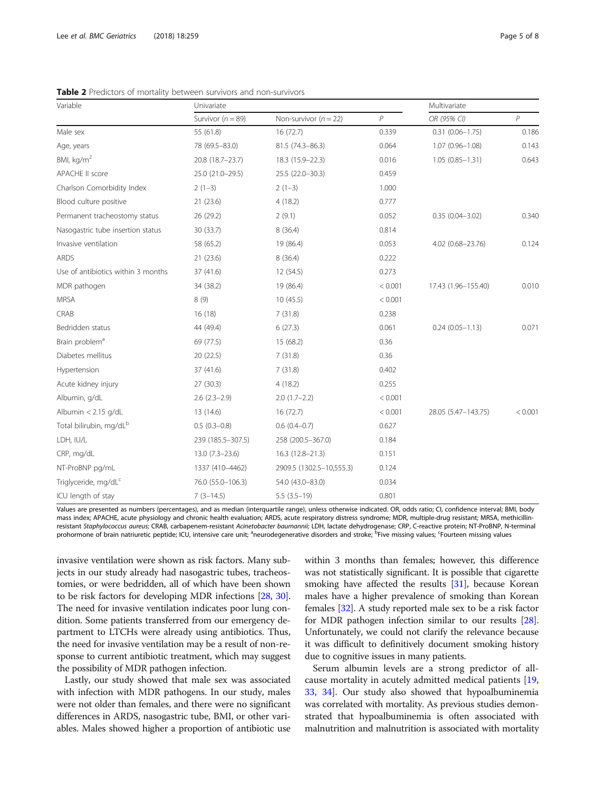| Variable                            | Univariate            |                          |                | Multivariate        |                |
|-------------------------------------|-----------------------|--------------------------|----------------|---------------------|----------------|
|                                     | Survivor ( $n = 89$ ) | Non-survivor $(n = 22)$  | $\overline{P}$ | OR (95% CI)         | $\overline{P}$ |
| Male sex                            | 55 (61.8)             | 16(72.7)                 | 0.339          | $0.31(0.06 - 1.75)$ | 0.186          |
| Age, years                          | 78 (69.5-83.0)        | 81.5 (74.3-86.3)         | 0.064          | $1.07(0.96 - 1.08)$ | 0.143          |
| BMI, $kg/m2$                        | 20.8 (18.7-23.7)      | 18.3 (15.9-22.3)         | 0.016          | $1.05(0.85 - 1.31)$ | 0.643          |
| APACHE II score                     | 25.0 (21.0-29.5)      | 25.5 (22.0-30.3)         | 0.459          |                     |                |
| Charlson Comorbidity Index          | $2(1-3)$              | $2(1-3)$                 | 1.000          |                     |                |
| Blood culture positive              | 21(23.6)              | 4(18.2)                  | 0.777          |                     |                |
| Permanent tracheostomy status       | 26 (29.2)             | 2(9.1)                   | 0.052          | $0.35(0.04 - 3.02)$ | 0.340          |
| Nasogastric tube insertion status   | 30 (33.7)             | 8(36.4)                  | 0.814          |                     |                |
| Invasive ventilation                | 58 (65.2)             | 19 (86.4)                | 0.053          | 4.02 (0.68-23.76)   | 0.124          |
| <b>ARDS</b>                         | 21(23.6)              | 8(36.4)                  | 0.222          |                     |                |
| Use of antibiotics within 3 months  | 37 (41.6)             | 12(54.5)                 | 0.273          |                     |                |
| MDR pathogen                        | 34 (38.2)             | 19 (86.4)                | < 0.001        | 17.43 (1.96-155.40) | 0.010          |
| <b>MRSA</b>                         | 8(9)                  | 10(45.5)                 | < 0.001        |                     |                |
| CRAB                                | 16(18)                | 7(31.8)                  | 0.238          |                     |                |
| Bedridden status                    | 44 (49.4)             | 6(27.3)                  | 0.061          | $0.24(0.05 - 1.13)$ | 0.071          |
| Brain problem <sup>a</sup>          | 69 (77.5)             | 15 (68.2)                | 0.36           |                     |                |
| Diabetes mellitus                   | 20(22.5)              | 7(31.8)                  | 0.36           |                     |                |
| Hypertension                        | 37 (41.6)             | 7(31.8)                  | 0.402          |                     |                |
| Acute kidney injury                 | 27(30.3)              | 4(18.2)                  | 0.255          |                     |                |
| Albumin, g/dL                       | $2.6$ $(2.3-2.9)$     | $2.0(1.7-2.2)$           | < 0.001        |                     |                |
| Albumin < 2.15 g/dL                 | 13 (14.6)             | 16(72.7)                 | < 0.001        | 28.05 (5.47-143.75) | < 0.001        |
| Total bilirubin, mg/dL <sup>b</sup> | $0.5(0.3-0.8)$        | $0.6(0.4-0.7)$           | 0.627          |                     |                |
| LDH, IU/L                           | 239 (185.5-307.5)     | 258 (200.5-367.0)        | 0.184          |                     |                |
| CRP, mg/dL                          | $13.0(7.3-23.6)$      | 16.3 (12.8-21.3)         | 0.151          |                     |                |
| NT-ProBNP pg/mL                     | 1337 (410-4462)       | 2909.5 (1302.5-10,555.3) | 0.124          |                     |                |
| Triglyceride, mg/dL <sup>c</sup>    | 76.0 (55.0-106.3)     | 54.0 (43.0-83.0)         | 0.034          |                     |                |
| ICU length of stay                  | $7(3-14.5)$           | $5.5(3.5-19)$            | 0.801          |                     |                |

<span id="page-4-0"></span>Table 2 Predictors of mortality between survivors and non-survivors

Values are presented as numbers (percentages), and as median (interquartile range), unless otherwise indicated. OR, odds ratio; CI, confidence interval; BMI, body mass index; APACHE, acute physiology and chronic health evaluation; ARDS, acute respiratory distress syndrome; MDR, multiple-drug resistant; MRSA, methicillinresistant Staphylococcus aureus; CRAB, carbapenem-resistant Acinetobacter baumannii; LDH, lactate dehydrogenase; CRP, C-reactive protein; NT-ProBNP, N-terminal prohormone of brain natriuretic peptide; ICU, intensive care unit; <sup>a</sup>neurodegenerative disorders and stroke; <sup>b</sup>Five missing values; <sup>c</sup>Fourteen missing values

invasive ventilation were shown as risk factors. Many subjects in our study already had nasogastric tubes, tracheostomies, or were bedridden, all of which have been shown to be risk factors for developing MDR infections [[28](#page-7-0), [30](#page-7-0)]. The need for invasive ventilation indicates poor lung condition. Some patients transferred from our emergency department to LTCHs were already using antibiotics. Thus, the need for invasive ventilation may be a result of non-response to current antibiotic treatment, which may suggest the possibility of MDR pathogen infection.

Lastly, our study showed that male sex was associated with infection with MDR pathogens. In our study, males were not older than females, and there were no significant differences in ARDS, nasogastric tube, BMI, or other variables. Males showed higher a proportion of antibiotic use within 3 months than females; however, this difference was not statistically significant. It is possible that cigarette smoking have affected the results [[31](#page-7-0)], because Korean males have a higher prevalence of smoking than Korean females [[32](#page-7-0)]. A study reported male sex to be a risk factor for MDR pathogen infection similar to our results [[28](#page-7-0)]. Unfortunately, we could not clarify the relevance because it was difficult to definitively document smoking history due to cognitive issues in many patients.

Serum albumin levels are a strong predictor of allcause mortality in acutely admitted medical patients [[19](#page-7-0), [33,](#page-7-0) [34\]](#page-7-0). Our study also showed that hypoalbuminemia was correlated with mortality. As previous studies demonstrated that hypoalbuminemia is often associated with malnutrition and malnutrition is associated with mortality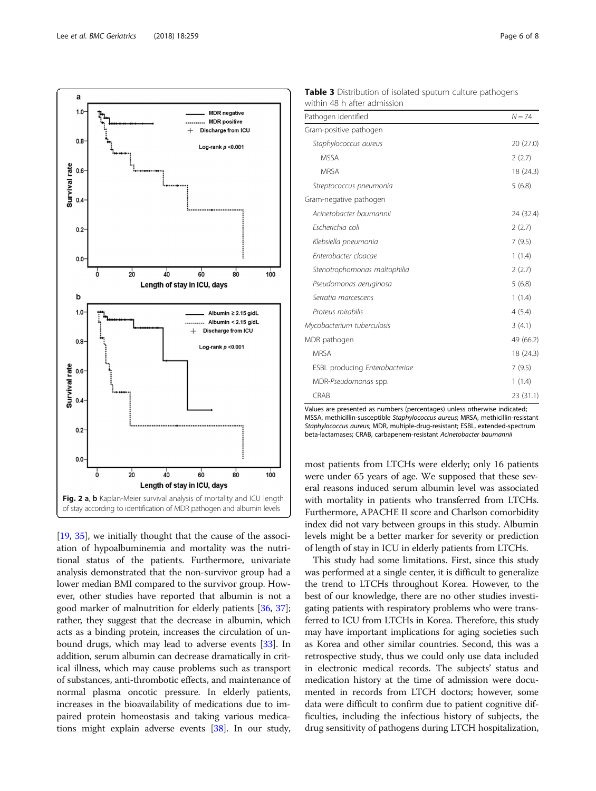<span id="page-5-0"></span>

[[19](#page-7-0), [35\]](#page-7-0), we initially thought that the cause of the association of hypoalbuminemia and mortality was the nutritional status of the patients. Furthermore, univariate analysis demonstrated that the non-survivor group had a lower median BMI compared to the survivor group. However, other studies have reported that albumin is not a good marker of malnutrition for elderly patients [[36](#page-7-0), [37](#page-7-0)]; rather, they suggest that the decrease in albumin, which acts as a binding protein, increases the circulation of unbound drugs, which may lead to adverse events [\[33\]](#page-7-0). In addition, serum albumin can decrease dramatically in critical illness, which may cause problems such as transport of substances, anti-thrombotic effects, and maintenance of normal plasma oncotic pressure. In elderly patients, increases in the bioavailability of medications due to impaired protein homeostasis and taking various medications might explain adverse events [[38](#page-7-0)]. In our study,

Table 3 Distribution of isolated sputum culture pathogens within 48 h after admission

| $N = 74$  |
|-----------|
|           |
| 20 (27.0) |
| 2(2.7)    |
| 18 (24.3) |
| 5(6.8)    |
|           |
| 24 (32.4) |
| 2(2.7)    |
| 7(9.5)    |
| 1(1.4)    |
| 2(2.7)    |
| 5(6.8)    |
| 1(1.4)    |
| 4(5.4)    |
| 3(4.1)    |
| 49 (66.2) |
| 18 (24.3) |
| 7(9.5)    |
| 1(1.4)    |
| 23 (31.1) |
|           |

Values are presented as numbers (percentages) unless otherwise indicated; MSSA, methicillin-susceptible Staphylococcus aureus; MRSA, methicillin-resistant Staphylococcus aureus; MDR, multiple-drug-resistant; ESBL, extended-spectrum beta-lactamases; CRAB, carbapenem-resistant Acinetobacter baumannii

most patients from LTCHs were elderly; only 16 patients were under 65 years of age. We supposed that these several reasons induced serum albumin level was associated with mortality in patients who transferred from LTCHs. Furthermore, APACHE II score and Charlson comorbidity index did not vary between groups in this study. Albumin levels might be a better marker for severity or prediction of length of stay in ICU in elderly patients from LTCHs.

This study had some limitations. First, since this study was performed at a single center, it is difficult to generalize the trend to LTCHs throughout Korea. However, to the best of our knowledge, there are no other studies investigating patients with respiratory problems who were transferred to ICU from LTCHs in Korea. Therefore, this study may have important implications for aging societies such as Korea and other similar countries. Second, this was a retrospective study, thus we could only use data included in electronic medical records. The subjects' status and medication history at the time of admission were documented in records from LTCH doctors; however, some data were difficult to confirm due to patient cognitive difficulties, including the infectious history of subjects, the drug sensitivity of pathogens during LTCH hospitalization,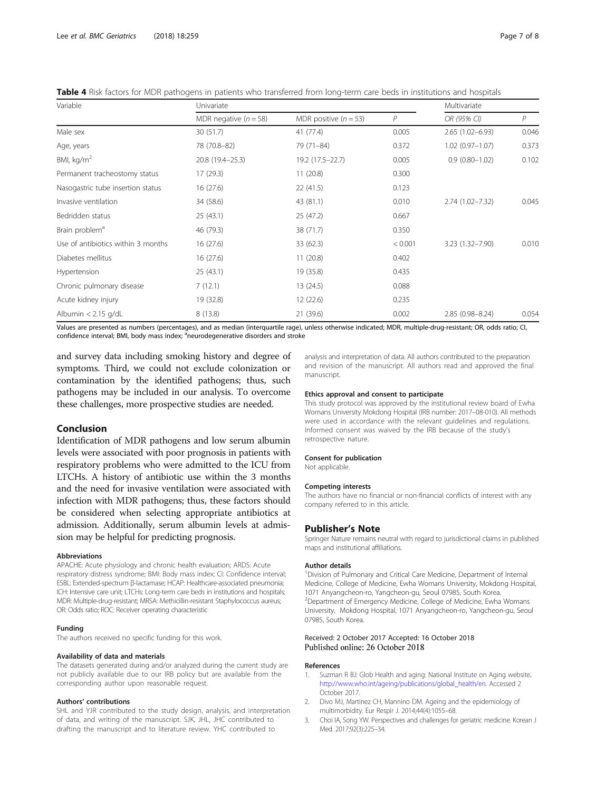<span id="page-6-0"></span>Table 4 Risk factors for MDR pathogens in patients who transferred from long-term care beds in institutions and hospitals

| Variable                           | Univariate              |                         |                | Multivariate        |              |
|------------------------------------|-------------------------|-------------------------|----------------|---------------------|--------------|
|                                    | MDR negative $(n = 58)$ | MDR positive $(n = 53)$ | $\overline{P}$ | OR (95% CI)         | $\mathcal P$ |
| Male sex                           | 30 (51.7)               | 41 (77.4)               | 0.005          | $2.65(1.02 - 6.93)$ | 0.046        |
| Age, years                         | 78 (70.8-82)            | 79 (71-84)              | 0.372          | $1.02(0.97 - 1.07)$ | 0.373        |
| BMI, $\text{kg/m}^2$               | 20.8 (19.4 - 25.3)      | 19.2 (17.5-22.7)        | 0.005          | $0.9(0.80 - 1.02)$  | 0.102        |
| Permanent tracheostomy status      | 17 (29.3)               | 11(20.8)                | 0.300          |                     |              |
| Nasogastric tube insertion status  | 16(27.6)                | 22(41.5)                | 0.123          |                     |              |
| Invasive ventilation               | 34 (58.6)               | 43 (81.1)               | 0.010          | $2.74(1.02 - 7.32)$ | 0.045        |
| Bedridden status                   | 25(43.1)                | 25 (47.2)               | 0.667          |                     |              |
| Brain problem <sup>a</sup>         | 46 (79.3)               | 38 (71.7)               | 0.350          |                     |              |
| Use of antibiotics within 3 months | 16(27.6)                | 33 (62.3)               | < 0.001        | $3.23(1.32 - 7.90)$ | 0.010        |
| Diabetes mellitus                  | 16(27.6)                | 11(20.8)                | 0.402          |                     |              |
| Hypertension                       | 25(43.1)                | 19 (35.8)               | 0.435          |                     |              |
| Chronic pulmonary disease          | 7(12.1)                 | 13 (24.5)               | 0.088          |                     |              |
| Acute kidney injury                | 19 (32.8)               | 12(22.6)                | 0.235          |                     |              |
| Albumin $< 2.15$ g/dL              | 8(13.8)                 | 21 (39.6)               | 0.002          | $2.85(0.98 - 8.24)$ | 0.054        |

Values are presented as numbers (percentages), and as median (interquartile rage), unless otherwise indicated; MDR, multiple-drug-resistant; OR, odds ratio; CI, confidence interval; BMI, body mass index; <sup>a</sup>neurodegenerative disorders and stroke

and survey data including smoking history and degree of symptoms. Third, we could not exclude colonization or contamination by the identified pathogens; thus, such pathogens may be included in our analysis. To overcome these challenges, more prospective studies are needed.

# Conclusion

Identification of MDR pathogens and low serum albumin levels were associated with poor prognosis in patients with respiratory problems who were admitted to the ICU from LTCHs. A history of antibiotic use within the 3 months and the need for invasive ventilation were associated with infection with MDR pathogens; thus, these factors should be considered when selecting appropriate antibiotics at admission. Additionally, serum albumin levels at admission may be helpful for predicting prognosis.

#### Abbreviations

APACHE: Acute physiology and chronic health evaluation; ARDS: Acute respiratory distress syndrome; BMI: Body mass index; CI: Confidence interval; ESBL: Extended-spectrum β-lactamase; HCAP: Healthcare-associated pneumonia; ICH: Intensive care unit; LTCHs: Long-term care beds in institutions and hospitals; MDR: Multiple-drug-resistant; MRSA: Methicillin-resistant Staphylococcus aureus; OR: Odds ratio; ROC: Receiver operating characteristic

#### Funding

The authors received no specific funding for this work.

#### Availability of data and materials

The datasets generated during and/or analyzed during the current study are not publicly available due to our IRB policy but are available from the corresponding author upon reasonable request.

#### Authors' contributions

SHL and YJR contributed to the study design, analysis, and interpretation of data, and writing of the manuscript. SJK, JHL, JHC contributed to drafting the manuscript and to literature review. YHC contributed to

analysis and interpretation of data. All authors contributed to the preparation and revision of the manuscript. All authors read and approved the final manuscript.

#### Ethics approval and consent to participate

This study protocol was approved by the institutional review board of Ewha Womans University Mokdong Hospital (IRB number: 2017–08-010). All methods were used in accordance with the relevant guidelines and regulations. Informed consent was waived by the IRB because of the study's retrospective nature.

#### Consent for publication

Not applicable.

#### Competing interests

The authors have no financial or non-financial conflicts of interest with any company referred to in this article.

#### Publisher's Note

Springer Nature remains neutral with regard to jurisdictional claims in published maps and institutional affiliations.

#### Author details

<sup>1</sup> Division of Pulmonary and Critical Care Medicine, Department of Internal Medicine, College of Medicine, Ewha Womans University, Mokdong Hospital, 1071 Anyangcheon-ro, Yangcheon-gu, Seoul 07985, South Korea. <sup>2</sup>Department of Emergency Medicine, College of Medicine, Ewha Womans University, Mokdong Hospital, 1071 Anyangcheon-ro, Yangcheon-gu, Seoul 07985, South Korea.

# Received: 2 October 2017 Accepted: 16 October 2018 Published online: 26 October 2018

#### References

- 1. Suzman R BJ: Glob Health and aging: National Institute on Aging website. [http://www.who.int/ageing/publications/global\\_health/en](http://www.who.int/ageing/publications/global_health/en). Accessed 2 October 2017.
- 2. Divo MJ, Martinez CH, Mannino DM. Ageing and the epidemiology of multimorbidity. Eur Respir J. 2014;44(4):1055–68.
- 3. Choi IA, Song YW. Perspectives and challenges for geriatric medicine. Korean J Med. 2017;92(3):225–34.